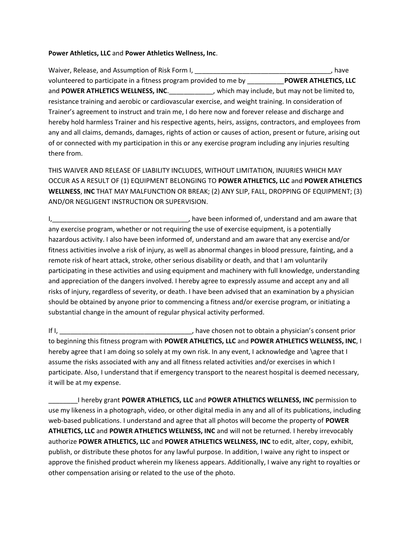## **Power Athletics, LLC** and **Power Athletics Wellness, Inc**.

Waiver, Release, and Assumption of Risk Form I, Letter Line and Line and Line and Line and Line and Line and L volunteered to participate in a fitness program provided to me by \_\_\_\_\_\_\_\_\_\_**POWER ATHLETICS, LLC** and **POWER ATHLETICS WELLNESS, INC**.\_\_\_\_\_\_\_\_\_\_\_\_, which may include, but may not be limited to, resistance training and aerobic or cardiovascular exercise, and weight training. In consideration of Trainer's agreement to instruct and train me, I do here now and forever release and discharge and hereby hold harmless Trainer and his respective agents, heirs, assigns, contractors, and employees from any and all claims, demands, damages, rights of action or causes of action, present or future, arising out of or connected with my participation in this or any exercise program including any injuries resulting there from.

THIS WAIVER AND RELEASE OF LIABILITY INCLUDES, WITHOUT LIMITATION, INJURIES WHICH MAY OCCUR AS A RESULT OF (1) EQUIPMENT BELONGING TO **POWER ATHLETICS, LLC** and **POWER ATHLETICS WELLNESS**, **INC** THAT MAY MALFUNCTION OR BREAK; (2) ANY SLIP, FALL, DROPPING OF EQUIPMENT; (3) AND/OR NEGLIGENT INSTRUCTION OR SUPERVISION.

I,\_\_\_\_\_\_\_\_\_\_\_\_\_\_\_\_\_\_\_\_\_\_\_\_\_\_\_\_\_\_\_\_\_\_\_\_\_, have been informed of, understand and am aware that any exercise program, whether or not requiring the use of exercise equipment, is a potentially hazardous activity. I also have been informed of, understand and am aware that any exercise and/or fitness activities involve a risk of injury, as well as abnormal changes in blood pressure, fainting, and a remote risk of heart attack, stroke, other serious disability or death, and that I am voluntarily participating in these activities and using equipment and machinery with full knowledge, understanding and appreciation of the dangers involved. I hereby agree to expressly assume and accept any and all risks of injury, regardless of severity, or death. I have been advised that an examination by a physician should be obtained by anyone prior to commencing a fitness and/or exercise program, or initiating a substantial change in the amount of regular physical activity performed.

If I,  $\frac{1}{2}$  and  $\frac{1}{2}$  have chosen not to obtain a physician's consent prior to beginning this fitness program with **POWER ATHLETICS, LLC** and **POWER ATHLETICS WELLNESS, INC**, I hereby agree that I am doing so solely at my own risk. In any event, I acknowledge and \agree that I assume the risks associated with any and all fitness related activities and/or exercises in which I participate. Also, I understand that if emergency transport to the nearest hospital is deemed necessary, it will be at my expense.

\_\_\_\_\_\_\_\_I hereby grant **POWER ATHLETICS, LLC** and **POWER ATHLETICS WELLNESS, INC** permission to use my likeness in a photograph, video, or other digital media in any and all of its publications, including web-based publications. I understand and agree that all photos will become the property of **POWER ATHLETICS, LLC** and **POWER ATHLETICS WELLNESS, INC** and will not be returned. I hereby irrevocably authorize **POWER ATHLETICS, LLC** and **POWER ATHLETICS WELLNESS, INC** to edit, alter, copy, exhibit, publish, or distribute these photos for any lawful purpose. In addition, I waive any right to inspect or approve the finished product wherein my likeness appears. Additionally, I waive any right to royalties or other compensation arising or related to the use of the photo.